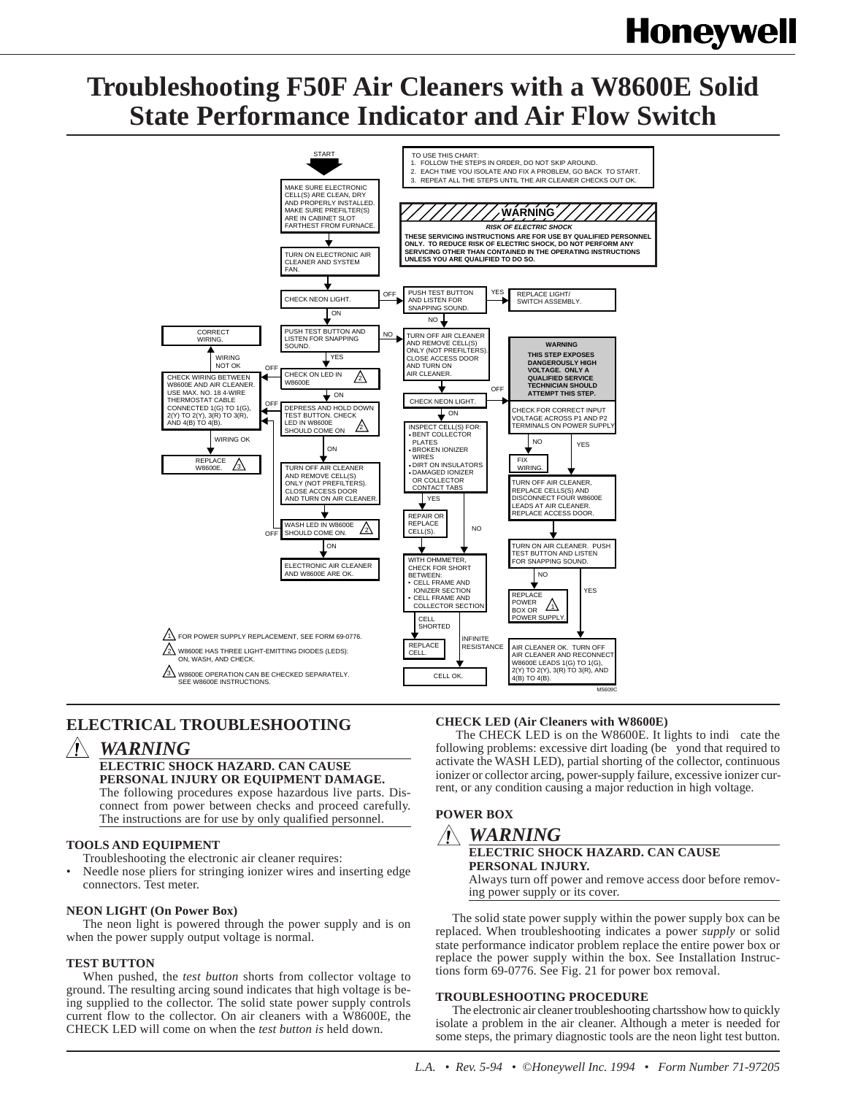# **Honeywell**

# **Troubleshooting F50F Air Cleaners with a W8600E Solid State Performance Indicator and Air Flow Switch**



# **ELECTRICAL TROUBLESHOOTING**

## *WARNING*

#### **ELECTRIC SHOCK HAZARD. CAN CAUSE PERSONAL INJURY OR EQUIPMENT DAMAGE.**

The following procedures expose hazardous live parts. Disconnect from power between checks and proceed carefully. The instructions are for use by only qualified personnel.

#### **TOOLS AND EQUIPMENT**

- Troubleshooting the electronic air cleaner requires:
- Needle nose pliers for stringing ionizer wires and inserting edge connectors. Test meter.

#### **NEON LIGHT (On Power Box)**

The neon light is powered through the power supply and is on when the power supply output voltage is normal.

#### **TEST BUTTON**

When pushed, the *test button* shorts from collector voltage to ground. The resulting arcing sound indicates that high voltage is being supplied to the collector. The solid state power supply controls current flow to the collector. On air cleaners with a W8600E, the CHECK LED will come on when the *test button is* held down.

#### **CHECK LED (Air Cleaners with W8600E)**

The CHECK LED is on the W8600E. It lights to indi cate the following problems: excessive dirt loading (be yond that required to activate the WASH LED), partial shorting of the collector, continuous ionizer or collector arcing, power-supply failure, excessive ionizer current, or any condition causing a major reduction in high voltage.

### **POWER BOX** *WARNING* **ELECTRIC SHOCK HAZARD. CAN CAUSE PERSONAL INJURY.**

Always turn off power and remove access door before removing power supply or its cover.

The solid state power supply within the power supply box can be replaced. When troubleshooting indicates a power *supply* or solid state performance indicator problem replace the entire power box or replace the power supply within the box. See Installation Instructions form 69-0776. See Fig. 21 for power box removal.

#### **TROUBLESHOOTING PROCEDURE**

The electronic air cleaner troubleshooting chartsshow how to quickly isolate a problem in the air cleaner. Although a meter is needed for some steps, the primary diagnostic tools are the neon light test button.